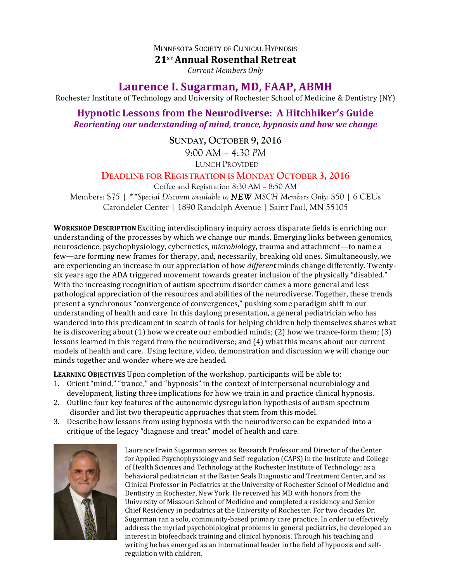## **MINNESOTA SOCIETY OF CLINICAL HYPNOSIS**

**21ST Annual Rosenthal Retreat**

*Current Members Only*

## Laurence I. Sugarman, MD, FAAP, ABMH

Rochester Institute of Technology and University of Rochester School of Medicine & Dentistry (NY)

## **Hypnotic Lessons from the Neurodiverse: A Hitchhiker's Guide** *Reorienting our understanding of mind, trance, hypnosis and how we change*

**SUNDAY, OCTOBER 9, 2016** 9:00 AM – 4:30 *PM* LUNCH PROVIDED

## **DEADLINE FOR REGISTRATION IS MONDAY OCTOBER 3, 2016**

Coffee and Registration 8:30 AM – 8:50 AM Members: \$75 | *\*\*Special Discount available to NEW MSCH Members Only*: \$50 | 6 CEUs Carondelet Center | 1890 Randolph Avenue | Saint Paul, MN 55105

**WORKSHOP DESCRIPTION** Exciting interdisciplinary inquiry across disparate fields is enriching our understanding of the processes by which we change our minds. Emerging links between genomics, neuroscience, psychophysiology, cybernetics, *microbiology*, trauma and attachment—to name a few—are forming new frames for therapy, and, necessarily, breaking old ones. Simultaneously, we are experiencing an increase in our appreciation of how *different* minds change differently. Twentysix years ago the ADA triggered movement towards greater inclusion of the physically "disabled." With the increasing recognition of autism spectrum disorder comes a more general and less pathological appreciation of the resources and abilities of the neurodiverse. Together, these trends present a synchronous "convergence of convergences," pushing some paradigm shift in our understanding of health and care. In this daylong presentation, a general pediatrician who has wandered into this predicament in search of tools for helping children help themselves shares what he is discovering about  $(1)$  how we create our embodied minds;  $(2)$  how we trance-form them;  $(3)$ lessons learned in this regard from the neurodiverse; and (4) what this means about our current models of health and care. Using lecture, video, demonstration and discussion we will change our minds together and wonder where we are headed.

**LEARNING OBJECTIVES** Upon completion of the workshop, participants will be able to:

- 1. Orient "mind," "trance," and "hypnosis" in the context of interpersonal neurobiology and development, listing three implications for how we train in and practice clinical hypnosis.
- 2. Outline four key features of the autonomic dysregulation hypothesis of autism spectrum disorder and list two therapeutic approaches that stem from this model.
- 3. Describe how lessons from using hypnosis with the neurodiverse can be expanded into a critique of the legacy "diagnose and treat" model of health and care.



Laurence Irwin Sugarman serves as Research Professor and Director of the Center for Applied Psychophysiology and Self-regulation (CAPS) in the Institute and College of Health Sciences and Technology at the Rochester Institute of Technology; as a behavioral pediatrician at the Easter Seals Diagnostic and Treatment Center, and as Clinical Professor in Pediatrics at the University of Rochester School of Medicine and Dentistry in Rochester, New York. He received his MD with honors from the University of Missouri School of Medicine and completed a residency and Senior Chief Residency in pediatrics at the University of Rochester. For two decades Dr. Sugarman ran a solo, community-based primary care practice. In order to effectively address the myriad psychobiological problems in general pediatrics, he developed an interest in biofeedback training and clinical hypnosis. Through his teaching and writing he has emerged as an international leader in the field of hypnosis and selfregulation with children.